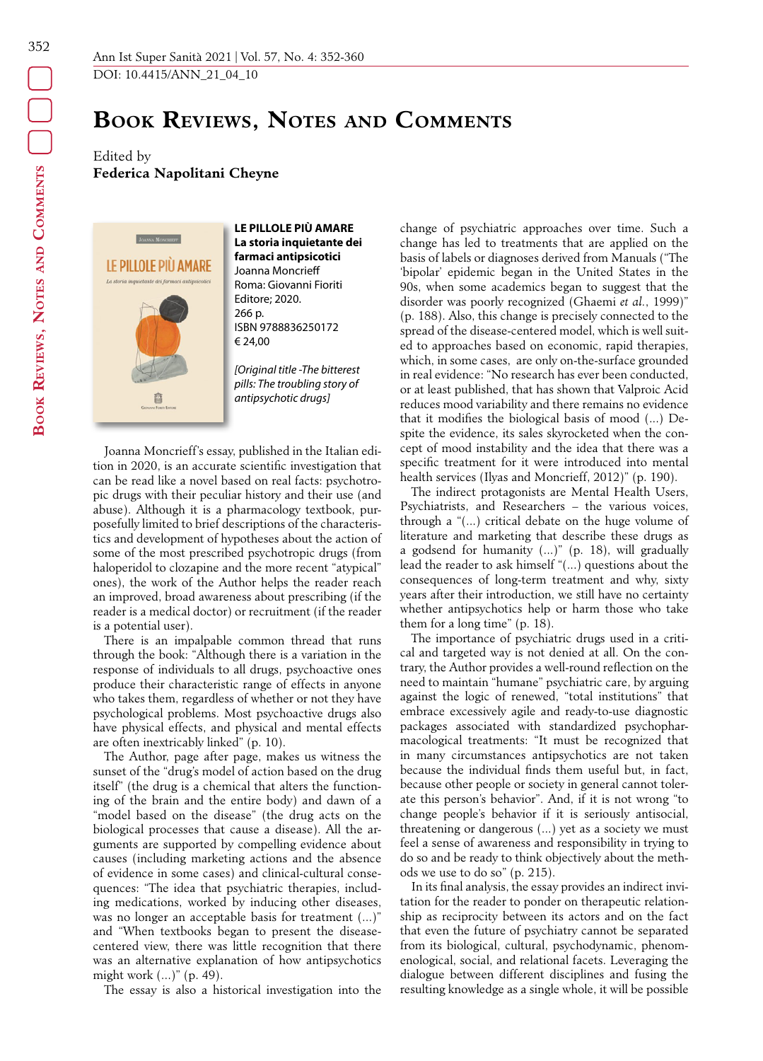# **Book Reviews, Notes and Comments**

Edited by **Federica Napolitani Cheyne**



**LE PILLOLE PIÙ AMARE La storia inquietante dei farmaci antipsicotici** Joanna Moncrieff Roma: Giovanni Fioriti Editore; 2020. 266 p. ISBN 9788836250172 € 24,00

*[Original title -The bitterest pills: The troubling story of antipsychotic drugs]*

Joanna Moncrieff's essay, published in the Italian edition in 2020, is an accurate scientific investigation that can be read like a novel based on real facts: psychotropic drugs with their peculiar history and their use (and abuse). Although it is a pharmacology textbook, purposefully limited to brief descriptions of the characteristics and development of hypotheses about the action of some of the most prescribed psychotropic drugs (from haloperidol to clozapine and the more recent "atypical" ones), the work of the Author helps the reader reach an improved, broad awareness about prescribing (if the reader is a medical doctor) or recruitment (if the reader is a potential user).

There is an impalpable common thread that runs through the book: "Although there is a variation in the response of individuals to all drugs, psychoactive ones produce their characteristic range of effects in anyone who takes them, regardless of whether or not they have psychological problems. Most psychoactive drugs also have physical effects, and physical and mental effects are often inextricably linked" (p. 10).

The Author, page after page, makes us witness the sunset of the "drug's model of action based on the drug itself" (the drug is a chemical that alters the functioning of the brain and the entire body) and dawn of a "model based on the disease" (the drug acts on the biological processes that cause a disease). All the arguments are supported by compelling evidence about causes (including marketing actions and the absence of evidence in some cases) and clinical-cultural consequences: "The idea that psychiatric therapies, including medications, worked by inducing other diseases, was no longer an acceptable basis for treatment (...)" and "When textbooks began to present the diseasecentered view, there was little recognition that there was an alternative explanation of how antipsychotics might work (...)" (p. 49).

The essay is also a historical investigation into the

change of psychiatric approaches over time. Such a change has led to treatments that are applied on the basis of labels or diagnoses derived from Manuals ("The 'bipolar' epidemic began in the United States in the 90s, when some academics began to suggest that the disorder was poorly recognized (Ghaemi *et al.*, 1999)" (p. 188). Also, this change is precisely connected to the spread of the disease-centered model, which is well suited to approaches based on economic, rapid therapies, which, in some cases, are only on-the-surface grounded in real evidence: "No research has ever been conducted, or at least published, that has shown that Valproic Acid reduces mood variability and there remains no evidence that it modifies the biological basis of mood (...) Despite the evidence, its sales skyrocketed when the concept of mood instability and the idea that there was a specific treatment for it were introduced into mental health services (Ilyas and Moncrieff, 2012)" (p. 190).

The indirect protagonists are Mental Health Users, Psychiatrists, and Researchers – the various voices, through a "(...) critical debate on the huge volume of literature and marketing that describe these drugs as a godsend for humanity (...)" (p. 18), will gradually lead the reader to ask himself "(...) questions about the consequences of long-term treatment and why, sixty years after their introduction, we still have no certainty whether antipsychotics help or harm those who take them for a long time" (p. 18).

The importance of psychiatric drugs used in a critical and targeted way is not denied at all. On the contrary, the Author provides a well-round reflection on the need to maintain "humane" psychiatric care, by arguing against the logic of renewed, "total institutions" that embrace excessively agile and ready-to-use diagnostic packages associated with standardized psychopharmacological treatments: "It must be recognized that in many circumstances antipsychotics are not taken because the individual finds them useful but, in fact, because other people or society in general cannot tolerate this person's behavior". And, if it is not wrong "to change people's behavior if it is seriously antisocial, threatening or dangerous (...) yet as a society we must feel a sense of awareness and responsibility in trying to do so and be ready to think objectively about the methods we use to do so" (p. 215).

In its final analysis, the essay provides an indirect invitation for the reader to ponder on therapeutic relationship as reciprocity between its actors and on the fact that even the future of psychiatry cannot be separated from its biological, cultural, psychodynamic, phenomenological, social, and relational facets. Leveraging the dialogue between different disciplines and fusing the resulting knowledge as a single whole, it will be possible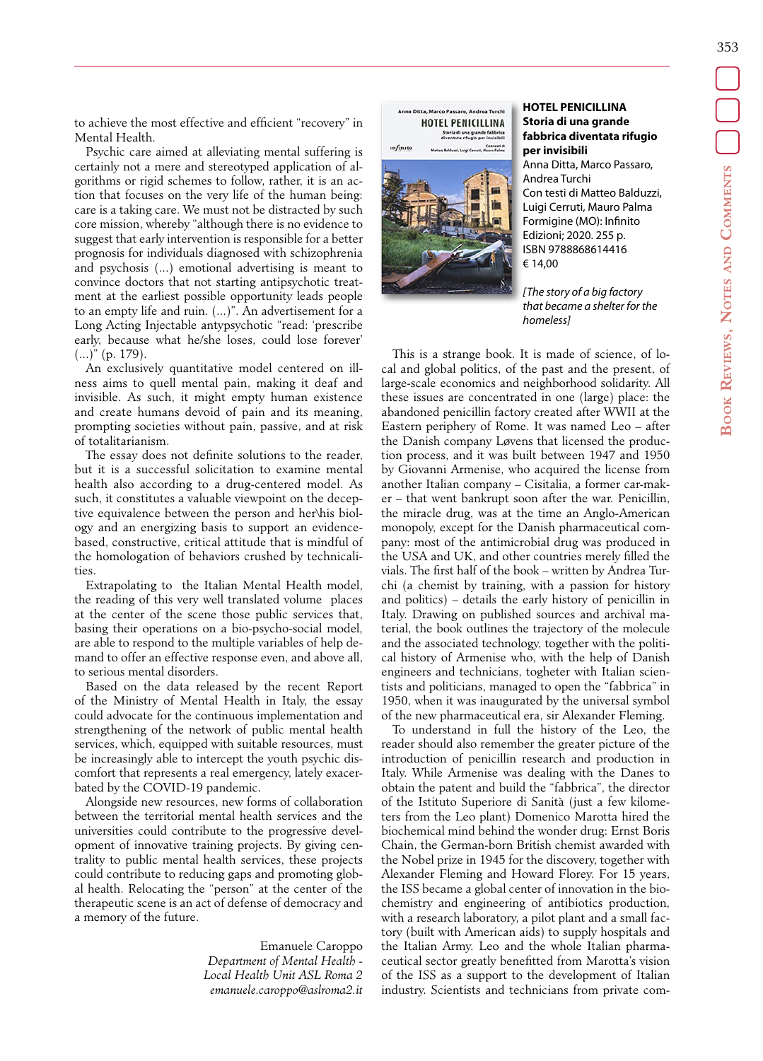to achieve the most effective and efficient "recovery" in Mental Health.

Psychic care aimed at alleviating mental suffering is certainly not a mere and stereotyped application of algorithms or rigid schemes to follow, rather, it is an action that focuses on the very life of the human being: care is a taking care. We must not be distracted by such core mission, whereby "although there is no evidence to suggest that early intervention is responsible for a better prognosis for individuals diagnosed with schizophrenia and psychosis (...) emotional advertising is meant to convince doctors that not starting antipsychotic treatment at the earliest possible opportunity leads people to an empty life and ruin. (...)". An advertisement for a Long Acting Injectable antypsychotic "read: 'prescribe early, because what he/she loses, could lose forever' (...)" (p. 179).

An exclusively quantitative model centered on illness aims to quell mental pain, making it deaf and invisible. As such, it might empty human existence and create humans devoid of pain and its meaning, prompting societies without pain, passive, and at risk of totalitarianism.

The essay does not definite solutions to the reader, but it is a successful solicitation to examine mental health also according to a drug-centered model. As such, it constitutes a valuable viewpoint on the deceptive equivalence between the person and her\his biology and an energizing basis to support an evidencebased, constructive, critical attitude that is mindful of the homologation of behaviors crushed by technicalities.

Extrapolating to the Italian Mental Health model, the reading of this very well translated volume places at the center of the scene those public services that, basing their operations on a bio-psycho-social model, are able to respond to the multiple variables of help demand to offer an effective response even, and above all, to serious mental disorders.

Based on the data released by the recent Report of the Ministry of Mental Health in Italy, the essay could advocate for the continuous implementation and strengthening of the network of public mental health services, which, equipped with suitable resources, must be increasingly able to intercept the youth psychic discomfort that represents a real emergency, lately exacerbated by the COVID-19 pandemic.

Alongside new resources, new forms of collaboration between the territorial mental health services and the universities could contribute to the progressive development of innovative training projects. By giving centrality to public mental health services, these projects could contribute to reducing gaps and promoting global health. Relocating the "person" at the center of the therapeutic scene is an act of defense of democracy and a memory of the future.

> Emanuele Caroppo *Department of Mental Health - Local Health Unit ASL Roma 2 emanuele.caroppo@aslroma2.it*



#### **HOTEL PENICILLINA Storia di una grande fabbrica diventata rifugio per invisibili**

Anna Ditta, Marco Passaro, Andrea Turchi Con testi di Matteo Balduzzi, Luigi Cerruti, Mauro Palma Formigine (MO): Infinito Edizioni; 2020. 255 p. ISBN 9788868614416 € 14,00

*[The story of a big factory that became a shelter for the homeless]*

This is a strange book. It is made of science, of local and global politics, of the past and the present, of large-scale economics and neighborhood solidarity. All these issues are concentrated in one (large) place: the abandoned penicillin factory created after WWII at the Eastern periphery of Rome. It was named Leo – after the Danish company Løvens that licensed the production process, and it was built between 1947 and 1950 by Giovanni Armenise, who acquired the license from another Italian company – Cisitalia, a former car-maker – that went bankrupt soon after the war. Penicillin, the miracle drug, was at the time an Anglo-American monopoly, except for the Danish pharmaceutical company: most of the antimicrobial drug was produced in the USA and UK, and other countries merely filled the vials. The first half of the book – written by Andrea Turchi (a chemist by training, with a passion for history and politics) – details the early history of penicillin in Italy. Drawing on published sources and archival material, the book outlines the trajectory of the molecule and the associated technology, together with the political history of Armenise who, with the help of Danish engineers and technicians, togheter with Italian scientists and politicians, managed to open the "fabbrica" in 1950, when it was inaugurated by the universal symbol of the new pharmaceutical era, sir Alexander Fleming.

To understand in full the history of the Leo, the reader should also remember the greater picture of the introduction of penicillin research and production in Italy. While Armenise was dealing with the Danes to obtain the patent and build the "fabbrica", the director of the Istituto Superiore di Sanità (just a few kilometers from the Leo plant) Domenico Marotta hired the biochemical mind behind the wonder drug: Ernst Boris Chain, the German-born British chemist awarded with the Nobel prize in 1945 for the discovery, together with Alexander Fleming and Howard Florey. For 15 years, the ISS became a global center of innovation in the biochemistry and engineering of antibiotics production, with a research laboratory, a pilot plant and a small factory (built with American aids) to supply hospitals and the Italian Army. Leo and the whole Italian pharmaceutical sector greatly benefitted from Marotta's vision of the ISS as a support to the development of Italian industry. Scientists and technicians from private com-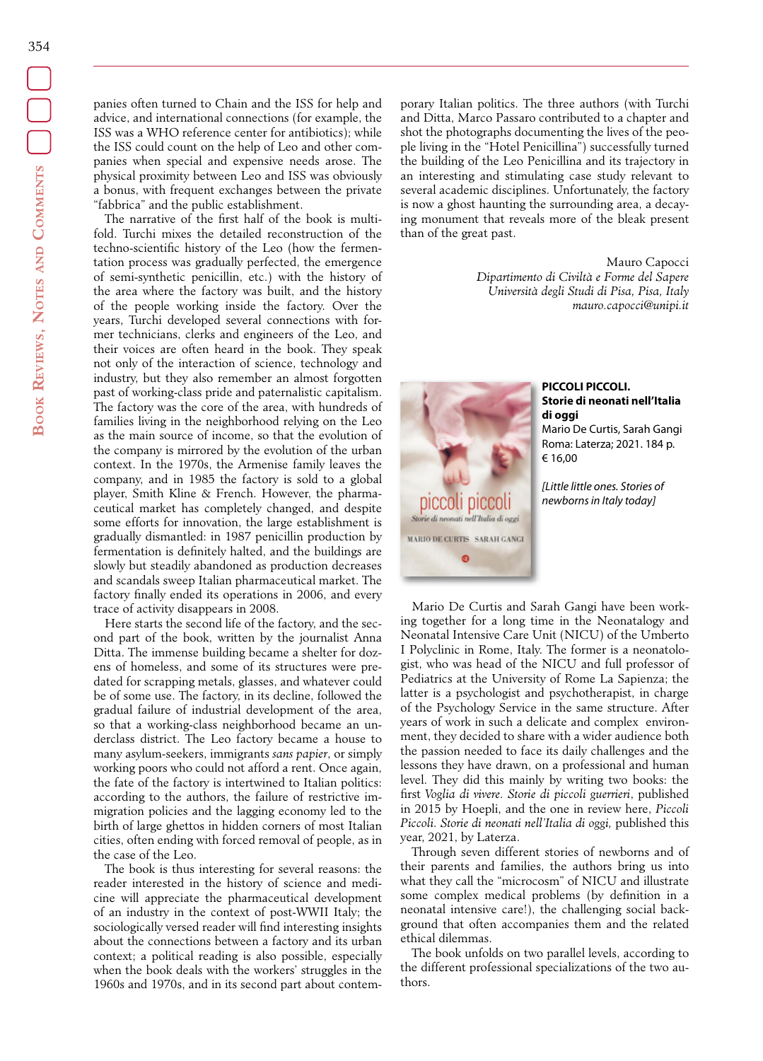panies often turned to Chain and the ISS for help and advice, and international connections (for example, the ISS was a WHO reference center for antibiotics); while the ISS could count on the help of Leo and other companies when special and expensive needs arose. The physical proximity between Leo and ISS was obviously a bonus, with frequent exchanges between the private "fabbrica" and the public establishment.

The narrative of the first half of the book is multifold. Turchi mixes the detailed reconstruction of the techno-scientific history of the Leo (how the fermentation process was gradually perfected, the emergence of semi-synthetic penicillin, etc.) with the history of the area where the factory was built, and the history of the people working inside the factory. Over the years, Turchi developed several connections with former technicians, clerks and engineers of the Leo, and their voices are often heard in the book. They speak not only of the interaction of science, technology and industry, but they also remember an almost forgotten past of working-class pride and paternalistic capitalism. The factory was the core of the area, with hundreds of families living in the neighborhood relying on the Leo as the main source of income, so that the evolution of the company is mirrored by the evolution of the urban context. In the 1970s, the Armenise family leaves the company, and in 1985 the factory is sold to a global player, Smith Kline & French. However, the pharmaceutical market has completely changed, and despite some efforts for innovation, the large establishment is gradually dismantled: in 1987 penicillin production by fermentation is definitely halted, and the buildings are slowly but steadily abandoned as production decreases and scandals sweep Italian pharmaceutical market. The factory finally ended its operations in 2006, and every trace of activity disappears in 2008.

Here starts the second life of the factory, and the second part of the book, written by the journalist Anna Ditta. The immense building became a shelter for dozens of homeless, and some of its structures were predated for scrapping metals, glasses, and whatever could be of some use. The factory, in its decline, followed the gradual failure of industrial development of the area, so that a working-class neighborhood became an underclass district. The Leo factory became a house to many asylum-seekers, immigrants *sans papier*, or simply working poors who could not afford a rent. Once again, the fate of the factory is intertwined to Italian politics: according to the authors, the failure of restrictive immigration policies and the lagging economy led to the birth of large ghettos in hidden corners of most Italian cities, often ending with forced removal of people, as in the case of the Leo.

The book is thus interesting for several reasons: the reader interested in the history of science and medicine will appreciate the pharmaceutical development of an industry in the context of post-WWII Italy; the sociologically versed reader will find interesting insights about the connections between a factory and its urban context; a political reading is also possible, especially when the book deals with the workers' struggles in the 1960s and 1970s, and in its second part about contem-

porary Italian politics. The three authors (with Turchi and Ditta, Marco Passaro contributed to a chapter and shot the photographs documenting the lives of the people living in the "Hotel Penicillina") successfully turned the building of the Leo Penicillina and its trajectory in an interesting and stimulating case study relevant to several academic disciplines. Unfortunately, the factory is now a ghost haunting the surrounding area, a decaying monument that reveals more of the bleak present than of the great past.

> Mauro Capocci *Dipartimento di Civiltà e Forme del Sapere Università degli Studi di Pisa, Pisa, Italy mauro.capocci@unipi.it*



## **PICCOLI PICCOLI. Storie di neonati nell'Italia di oggi**

Mario De Curtis, Sarah Gangi Roma: Laterza; 2021. 184 p. € 16,00

*[Little little ones. Stories of newborns in Italy today]*

Mario De Curtis and Sarah Gangi have been working together for a long time in the Neonatalogy and Neonatal Intensive Care Unit (NICU) of the Umberto I Polyclinic in Rome, Italy. The former is a neonatologist, who was head of the NICU and full professor of Pediatrics at the University of Rome La Sapienza; the latter is a psychologist and psychotherapist, in charge of the Psychology Service in the same structure. After years of work in such a delicate and complex environment, they decided to share with a wider audience both the passion needed to face its daily challenges and the lessons they have drawn, on a professional and human level. They did this mainly by writing two books: the first *Voglia di vivere. Storie di piccoli guerrieri*, published in 2015 by Hoepli, and the one in review here, *Piccoli Piccoli. Storie di neonati nell'Italia di oggi,* published this year, 2021, by Laterza.

Through seven different stories of newborns and of their parents and families, the authors bring us into what they call the "microcosm" of NICU and illustrate some complex medical problems (by definition in a neonatal intensive care!), the challenging social background that often accompanies them and the related ethical dilemmas.

The book unfolds on two parallel levels, according to the different professional specializations of the two authors.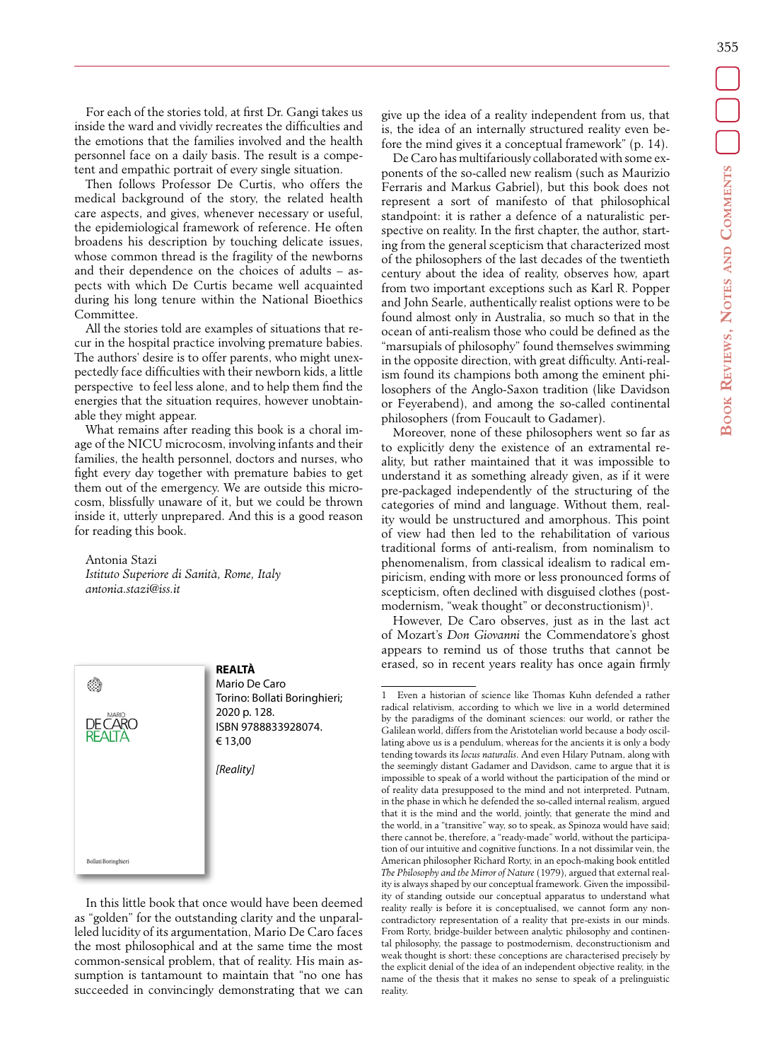355

For each of the stories told, at first Dr. Gangi takes us inside the ward and vividly recreates the difficulties and the emotions that the families involved and the health personnel face on a daily basis. The result is a competent and empathic portrait of every single situation.

Then follows Professor De Curtis, who offers the medical background of the story, the related health care aspects, and gives, whenever necessary or useful, the epidemiological framework of reference. He often broadens his description by touching delicate issues, whose common thread is the fragility of the newborns and their dependence on the choices of adults – aspects with which De Curtis became well acquainted during his long tenure within the National Bioethics Committee.

All the stories told are examples of situations that recur in the hospital practice involving premature babies. The authors' desire is to offer parents, who might unexpectedly face difficulties with their newborn kids, a little perspective to feel less alone, and to help them find the energies that the situation requires, however unobtainable they might appear.

What remains after reading this book is a choral image of the NICU microcosm, involving infants and their families, the health personnel, doctors and nurses, who fight every day together with premature babies to get them out of the emergency. We are outside this microcosm, blissfully unaware of it, but we could be thrown inside it, utterly unprepared. And this is a good reason for reading this book.

Antonia Stazi *Istituto Superiore di Sanità, Rome, Italy antonia.stazi@iss.it*

C)

Bollati Boringhieri

**REALTÀ** Mario De Caro Torino: Bollati Boringhieri; 2020 p. 128. ISBN 9788833928074. € 13,00 *[Reality]*

In this little book that once would have been deemed as "golden" for the outstanding clarity and the unparalleled lucidity of its argumentation, Mario De Caro faces the most philosophical and at the same time the most common-sensical problem, that of reality. His main assumption is tantamount to maintain that "no one has succeeded in convincingly demonstrating that we can give up the idea of a reality independent from us, that is, the idea of an internally structured reality even before the mind gives it a conceptual framework" (p. 14).

De Caro has multifariously collaborated with some exponents of the so-called new realism (such as Maurizio Ferraris and Markus Gabriel), but this book does not represent a sort of manifesto of that philosophical standpoint: it is rather a defence of a naturalistic perspective on reality. In the first chapter, the author, starting from the general scepticism that characterized most of the philosophers of the last decades of the twentieth century about the idea of reality, observes how, apart from two important exceptions such as Karl R. Popper and John Searle, authentically realist options were to be found almost only in Australia, so much so that in the ocean of anti-realism those who could be defined as the "marsupials of philosophy" found themselves swimming in the opposite direction, with great difficulty. Anti-realism found its champions both among the eminent philosophers of the Anglo-Saxon tradition (like Davidson or Feyerabend), and among the so-called continental philosophers (from Foucault to Gadamer).

Moreover, none of these philosophers went so far as to explicitly deny the existence of an extramental reality, but rather maintained that it was impossible to understand it as something already given, as if it were pre-packaged independently of the structuring of the categories of mind and language. Without them, reality would be unstructured and amorphous. This point of view had then led to the rehabilitation of various traditional forms of anti-realism, from nominalism to phenomenalism, from classical idealism to radical empiricism, ending with more or less pronounced forms of scepticism, often declined with disguised clothes (postmodernism, "weak thought" or deconstructionism)<sup>1</sup>.

However, De Caro observes, just as in the last act of Mozart's *Don Giovanni* the Commendatore's ghost appears to remind us of those truths that cannot be erased, so in recent years reality has once again firmly

<sup>1</sup> Even a historian of science like Thomas Kuhn defended a rather radical relativism, according to which we live in a world determined by the paradigms of the dominant sciences: our world, or rather the Galilean world, differs from the Aristotelian world because a body oscillating above us is a pendulum, whereas for the ancients it is only a body tending towards its *locus naturalis*. And even Hilary Putnam, along with the seemingly distant Gadamer and Davidson, came to argue that it is impossible to speak of a world without the participation of the mind or of reality data presupposed to the mind and not interpreted. Putnam, in the phase in which he defended the so-called internal realism, argued that it is the mind and the world, jointly, that generate the mind and the world, in a "transitive" way, so to speak, as Spinoza would have said; there cannot be, therefore, a "ready-made" world, without the participation of our intuitive and cognitive functions. In a not dissimilar vein, the American philosopher Richard Rorty, in an epoch-making book entitled *The Philosophy and the Mirror of Nature* (1979), argued that external reality is always shaped by our conceptual framework. Given the impossibility of standing outside our conceptual apparatus to understand what reality really is before it is conceptualised, we cannot form any noncontradictory representation of a reality that pre-exists in our minds. From Rorty, bridge-builder between analytic philosophy and continental philosophy, the passage to postmodernism, deconstructionism and weak thought is short: these conceptions are characterised precisely by the explicit denial of the idea of an independent objective reality, in the name of the thesis that it makes no sense to speak of a prelinguistic reality.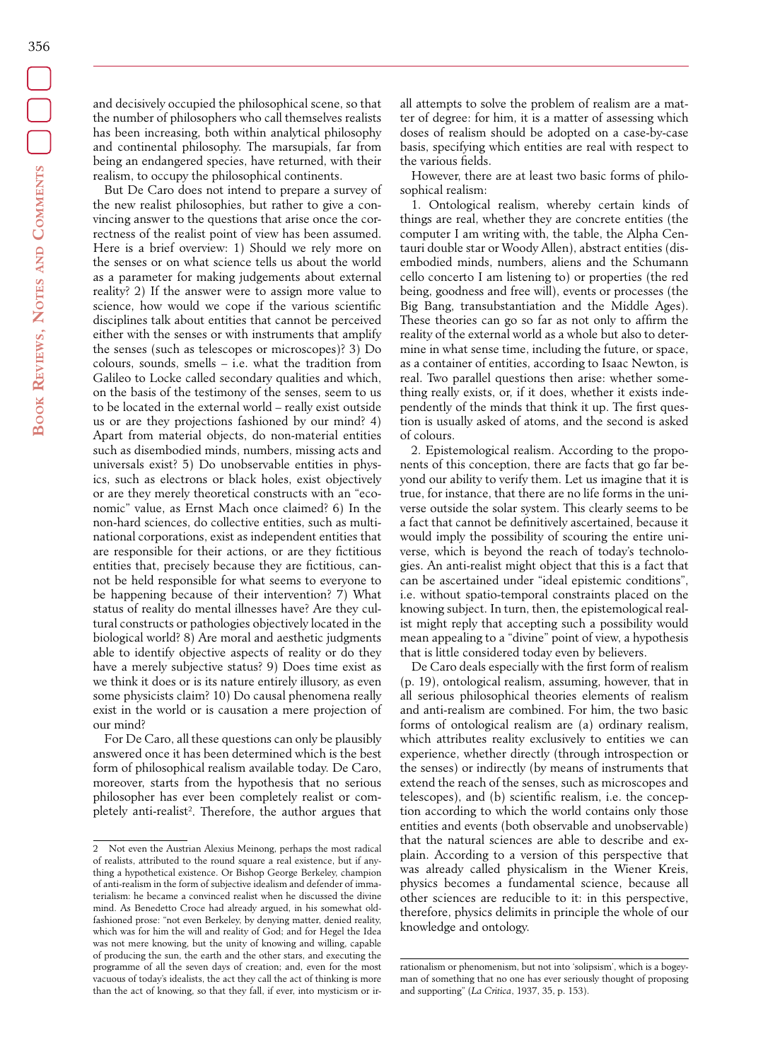and decisively occupied the philosophical scene, so that the number of philosophers who call themselves realists has been increasing, both within analytical philosophy and continental philosophy. The marsupials, far from being an endangered species, have returned, with their realism, to occupy the philosophical continents.

But De Caro does not intend to prepare a survey of the new realist philosophies, but rather to give a convincing answer to the questions that arise once the correctness of the realist point of view has been assumed. Here is a brief overview: 1) Should we rely more on the senses or on what science tells us about the world as a parameter for making judgements about external reality? 2) If the answer were to assign more value to science, how would we cope if the various scientific disciplines talk about entities that cannot be perceived either with the senses or with instruments that amplify the senses (such as telescopes or microscopes)? 3) Do colours, sounds, smells – i.e. what the tradition from Galileo to Locke called secondary qualities and which, on the basis of the testimony of the senses, seem to us to be located in the external world – really exist outside us or are they projections fashioned by our mind? 4) Apart from material objects, do non-material entities such as disembodied minds, numbers, missing acts and universals exist? 5) Do unobservable entities in physics, such as electrons or black holes, exist objectively or are they merely theoretical constructs with an "economic" value, as Ernst Mach once claimed? 6) In the non-hard sciences, do collective entities, such as multinational corporations, exist as independent entities that are responsible for their actions, or are they fictitious entities that, precisely because they are fictitious, cannot be held responsible for what seems to everyone to be happening because of their intervention? 7) What status of reality do mental illnesses have? Are they cultural constructs or pathologies objectively located in the biological world? 8) Are moral and aesthetic judgments able to identify objective aspects of reality or do they have a merely subjective status? 9) Does time exist as we think it does or is its nature entirely illusory, as even some physicists claim? 10) Do causal phenomena really exist in the world or is causation a mere projection of our mind?

For De Caro, all these questions can only be plausibly answered once it has been determined which is the best form of philosophical realism available today. De Caro, moreover, starts from the hypothesis that no serious philosopher has ever been completely realist or completely anti-realist2 . Therefore, the author argues that

all attempts to solve the problem of realism are a matter of degree: for him, it is a matter of assessing which doses of realism should be adopted on a case-by-case basis, specifying which entities are real with respect to the various fields.

However, there are at least two basic forms of philosophical realism:

1. Ontological realism, whereby certain kinds of things are real, whether they are concrete entities (the computer I am writing with, the table, the Alpha Centauri double star or Woody Allen), abstract entities (disembodied minds, numbers, aliens and the Schumann cello concerto I am listening to) or properties (the red being, goodness and free will), events or processes (the Big Bang, transubstantiation and the Middle Ages). These theories can go so far as not only to affirm the reality of the external world as a whole but also to determine in what sense time, including the future, or space, as a container of entities, according to Isaac Newton, is real. Two parallel questions then arise: whether something really exists, or, if it does, whether it exists independently of the minds that think it up. The first question is usually asked of atoms, and the second is asked of colours.

2. Epistemological realism. According to the proponents of this conception, there are facts that go far beyond our ability to verify them. Let us imagine that it is true, for instance, that there are no life forms in the universe outside the solar system. This clearly seems to be a fact that cannot be definitively ascertained, because it would imply the possibility of scouring the entire universe, which is beyond the reach of today's technologies. An anti-realist might object that this is a fact that can be ascertained under "ideal epistemic conditions", i.e. without spatio-temporal constraints placed on the knowing subject. In turn, then, the epistemological realist might reply that accepting such a possibility would mean appealing to a "divine" point of view, a hypothesis that is little considered today even by believers.

De Caro deals especially with the first form of realism (p. 19), ontological realism, assuming, however, that in all serious philosophical theories elements of realism and anti-realism are combined. For him, the two basic forms of ontological realism are (a) ordinary realism, which attributes reality exclusively to entities we can experience, whether directly (through introspection or the senses) or indirectly (by means of instruments that extend the reach of the senses, such as microscopes and telescopes), and (b) scientific realism, i.e. the conception according to which the world contains only those entities and events (both observable and unobservable) that the natural sciences are able to describe and explain. According to a version of this perspective that was already called physicalism in the Wiener Kreis, physics becomes a fundamental science, because all other sciences are reducible to it: in this perspective, therefore, physics delimits in principle the whole of our knowledge and ontology.

<sup>2</sup> Not even the Austrian Alexius Meinong, perhaps the most radical of realists, attributed to the round square a real existence, but if anything a hypothetical existence. Or Bishop George Berkeley, champion of anti-realism in the form of subjective idealism and defender of immaterialism: he became a convinced realist when he discussed the divine mind. As Benedetto Croce had already argued, in his somewhat oldfashioned prose: "not even Berkeley, by denying matter, denied reality, which was for him the will and reality of God; and for Hegel the Idea was not mere knowing, but the unity of knowing and willing, capable of producing the sun, the earth and the other stars, and executing the programme of all the seven days of creation; and, even for the most vacuous of today's idealists, the act they call the act of thinking is more than the act of knowing, so that they fall, if ever, into mysticism or ir-

rationalism or phenomenism, but not into 'solipsism', which is a bogeyman of something that no one has ever seriously thought of proposing and supporting" (*La Critica*, 1937, 35, p. 153).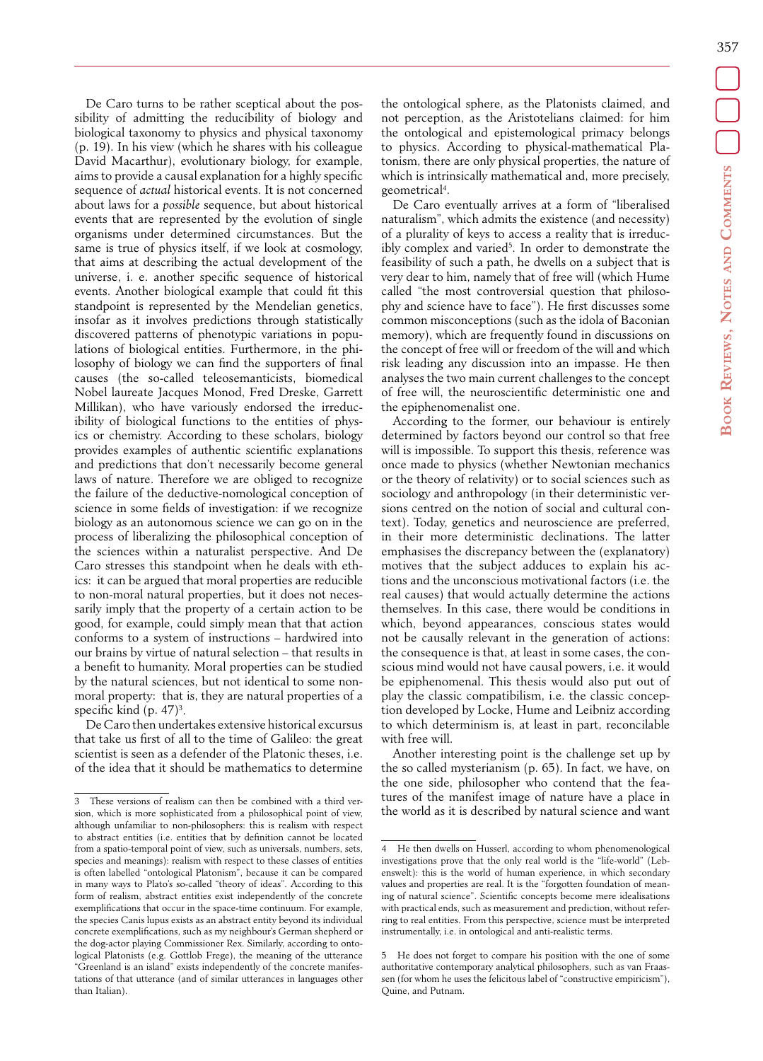357

De Caro turns to be rather sceptical about the possibility of admitting the reducibility of biology and biological taxonomy to physics and physical taxonomy (p. 19). In his view (which he shares with his colleague David Macarthur), evolutionary biology, for example, aims to provide a causal explanation for a highly specific sequence of *actual* historical events. It is not concerned about laws for a *possible* sequence, but about historical events that are represented by the evolution of single organisms under determined circumstances. But the same is true of physics itself, if we look at cosmology, that aims at describing the actual development of the universe, i. e. another specific sequence of historical events. Another biological example that could fit this standpoint is represented by the Mendelian genetics, insofar as it involves predictions through statistically discovered patterns of phenotypic variations in populations of biological entities. Furthermore, in the philosophy of biology we can find the supporters of final causes (the so-called teleosemanticists, biomedical Nobel laureate Jacques Monod, Fred Dreske, Garrett Millikan), who have variously endorsed the irreducibility of biological functions to the entities of physics or chemistry. According to these scholars, biology provides examples of authentic scientific explanations and predictions that don't necessarily become general laws of nature. Therefore we are obliged to recognize the failure of the deductive-nomological conception of science in some fields of investigation: if we recognize biology as an autonomous science we can go on in the process of liberalizing the philosophical conception of the sciences within a naturalist perspective. And De Caro stresses this standpoint when he deals with ethics: it can be argued that moral properties are reducible to non-moral natural properties, but it does not necessarily imply that the property of a certain action to be good, for example, could simply mean that that action conforms to a system of instructions – hardwired into our brains by virtue of natural selection – that results in a benefit to humanity. Moral properties can be studied by the natural sciences, but not identical to some nonmoral property: that is, they are natural properties of a specific kind (p.  $47$ )<sup>3</sup>.

De Caro then undertakes extensive historical excursus that take us first of all to the time of Galileo: the great scientist is seen as a defender of the Platonic theses, i.e. of the idea that it should be mathematics to determine the ontological sphere, as the Platonists claimed, and not perception, as the Aristotelians claimed: for him the ontological and epistemological primacy belongs to physics. According to physical-mathematical Platonism, there are only physical properties, the nature of which is intrinsically mathematical and, more precisely, geometrical4 .

De Caro eventually arrives at a form of "liberalised naturalism", which admits the existence (and necessity) of a plurality of keys to access a reality that is irreducibly complex and varied<sup>5</sup>. In order to demonstrate the feasibility of such a path, he dwells on a subject that is very dear to him, namely that of free will (which Hume called "the most controversial question that philosophy and science have to face"). He first discusses some common misconceptions (such as the idola of Baconian memory), which are frequently found in discussions on the concept of free will or freedom of the will and which risk leading any discussion into an impasse. He then analyses the two main current challenges to the concept of free will, the neuroscientific deterministic one and the epiphenomenalist one.

According to the former, our behaviour is entirely determined by factors beyond our control so that free will is impossible. To support this thesis, reference was once made to physics (whether Newtonian mechanics or the theory of relativity) or to social sciences such as sociology and anthropology (in their deterministic versions centred on the notion of social and cultural context). Today, genetics and neuroscience are preferred, in their more deterministic declinations. The latter emphasises the discrepancy between the (explanatory) motives that the subject adduces to explain his actions and the unconscious motivational factors (i.e. the real causes) that would actually determine the actions themselves. In this case, there would be conditions in which, beyond appearances, conscious states would not be causally relevant in the generation of actions: the consequence is that, at least in some cases, the conscious mind would not have causal powers, i.e. it would be epiphenomenal. This thesis would also put out of play the classic compatibilism, i.e. the classic conception developed by Locke, Hume and Leibniz according to which determinism is, at least in part, reconcilable with free will

Another interesting point is the challenge set up by the so called mysterianism (p. 65). In fact, we have, on the one side, philosopher who contend that the features of the manifest image of nature have a place in the world as it is described by natural science and want

<sup>3</sup> These versions of realism can then be combined with a third version, which is more sophisticated from a philosophical point of view, although unfamiliar to non-philosophers: this is realism with respect to abstract entities (i.e. entities that by definition cannot be located from a spatio-temporal point of view, such as universals, numbers, sets, species and meanings): realism with respect to these classes of entities is often labelled "ontological Platonism", because it can be compared in many ways to Plato's so-called "theory of ideas". According to this form of realism, abstract entities exist independently of the concrete exemplifications that occur in the space-time continuum. For example, the species Canis lupus exists as an abstract entity beyond its individual concrete exemplifications, such as my neighbour's German shepherd or the dog-actor playing Commissioner Rex. Similarly, according to ontological Platonists (e.g. Gottlob Frege), the meaning of the utterance "Greenland is an island" exists independently of the concrete manifestations of that utterance (and of similar utterances in languages other than Italian).

He then dwells on Husserl, according to whom phenomenological investigations prove that the only real world is the "life-world" (Lebenswelt): this is the world of human experience, in which secondary values and properties are real. It is the "forgotten foundation of meaning of natural science". Scientific concepts become mere idealisations with practical ends, such as measurement and prediction, without referring to real entities. From this perspective, science must be interpreted instrumentally, i.e. in ontological and anti-realistic terms.

<sup>5</sup> He does not forget to compare his position with the one of some authoritative contemporary analytical philosophers, such as van Fraassen (for whom he uses the felicitous label of "constructive empiricism"), Quine, and Putnam.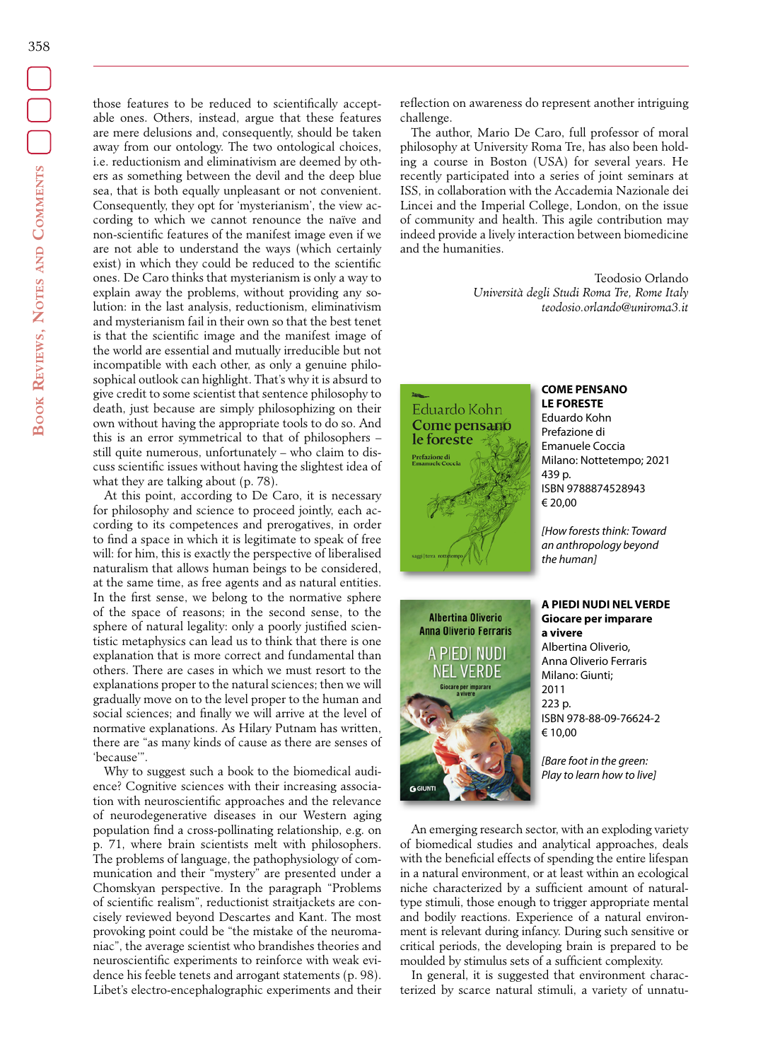those features to be reduced to scientifically acceptable ones. Others, instead, argue that these features are mere delusions and, consequently, should be taken away from our ontology. The two ontological choices, i.e. reductionism and eliminativism are deemed by others as something between the devil and the deep blue sea, that is both equally unpleasant or not convenient. Consequently, they opt for 'mysterianism', the view according to which we cannot renounce the naïve and non-scientific features of the manifest image even if we are not able to understand the ways (which certainly exist) in which they could be reduced to the scientific ones. De Caro thinks that mysterianism is only a way to explain away the problems, without providing any solution: in the last analysis, reductionism, eliminativism and mysterianism fail in their own so that the best tenet is that the scientific image and the manifest image of the world are essential and mutually irreducible but not incompatible with each other, as only a genuine philosophical outlook can highlight. That's why it is absurd to give credit to some scientist that sentence philosophy to death, just because are simply philosophizing on their own without having the appropriate tools to do so. And this is an error symmetrical to that of philosophers – still quite numerous, unfortunately – who claim to discuss scientific issues without having the slightest idea of what they are talking about (p. 78).

At this point, according to De Caro, it is necessary for philosophy and science to proceed jointly, each according to its competences and prerogatives, in order to find a space in which it is legitimate to speak of free will: for him, this is exactly the perspective of liberalised naturalism that allows human beings to be considered, at the same time, as free agents and as natural entities. In the first sense, we belong to the normative sphere of the space of reasons; in the second sense, to the sphere of natural legality: only a poorly justified scientistic metaphysics can lead us to think that there is one explanation that is more correct and fundamental than others. There are cases in which we must resort to the explanations proper to the natural sciences; then we will gradually move on to the level proper to the human and social sciences; and finally we will arrive at the level of normative explanations. As Hilary Putnam has written, there are "as many kinds of cause as there are senses of 'because'".

Why to suggest such a book to the biomedical audience? Cognitive sciences with their increasing association with neuroscientific approaches and the relevance of neurodegenerative diseases in our Western aging population find a cross-pollinating relationship, e.g. on p. 71, where brain scientists melt with philosophers. The problems of language, the pathophysiology of communication and their "mystery" are presented under a Chomskyan perspective. In the paragraph "Problems of scientific realism", reductionist straitjackets are concisely reviewed beyond Descartes and Kant. The most provoking point could be "the mistake of the neuromaniac", the average scientist who brandishes theories and neuroscientific experiments to reinforce with weak evidence his feeble tenets and arrogant statements (p. 98). Libet's electro-encephalographic experiments and their

reflection on awareness do represent another intriguing challenge.

The author, Mario De Caro, full professor of moral philosophy at University Roma Tre, has also been holding a course in Boston (USA) for several years. He recently participated into a series of joint seminars at ISS, in collaboration with the Accademia Nazionale dei Lincei and the Imperial College, London, on the issue of community and health. This agile contribution may indeed provide a lively interaction between biomedicine and the humanities.

> Teodosio Orlando *Università degli Studi Roma Tre, Rome Italy [teodosio.orlando@uniroma3.it](mailto:teodosio.orlando@uniroma3.it)*



#### **COME PENSANO LE FORESTE**

Eduardo Kohn Prefazione di Emanuele Coccia Milano: Nottetempo; 2021 439 p. ISBN 9788874528943 € 20,00

*[How forests think: Toward an anthropology beyond the human]*

### **A PIEDI NUDI NEL VERDE Giocare per imparare a vivere**

Albertina Oliverio, Anna Oliverio Ferraris Milano: Giunti; 2011 223 p. ISBN 978-88-09-76624-2 € 10,00

*[Bare foot in the green: Play to learn how to live]*

An emerging research sector, with an exploding variety of biomedical studies and analytical approaches, deals with the beneficial effects of spending the entire lifespan in a natural environment, or at least within an ecological niche characterized by a sufficient amount of naturaltype stimuli, those enough to trigger appropriate mental and bodily reactions. Experience of a natural environment is relevant during infancy. During such sensitive or critical periods, the developing brain is prepared to be moulded by stimulus sets of a sufficient complexity.

In general, it is suggested that environment characterized by scarce natural stimuli, a variety of unnatu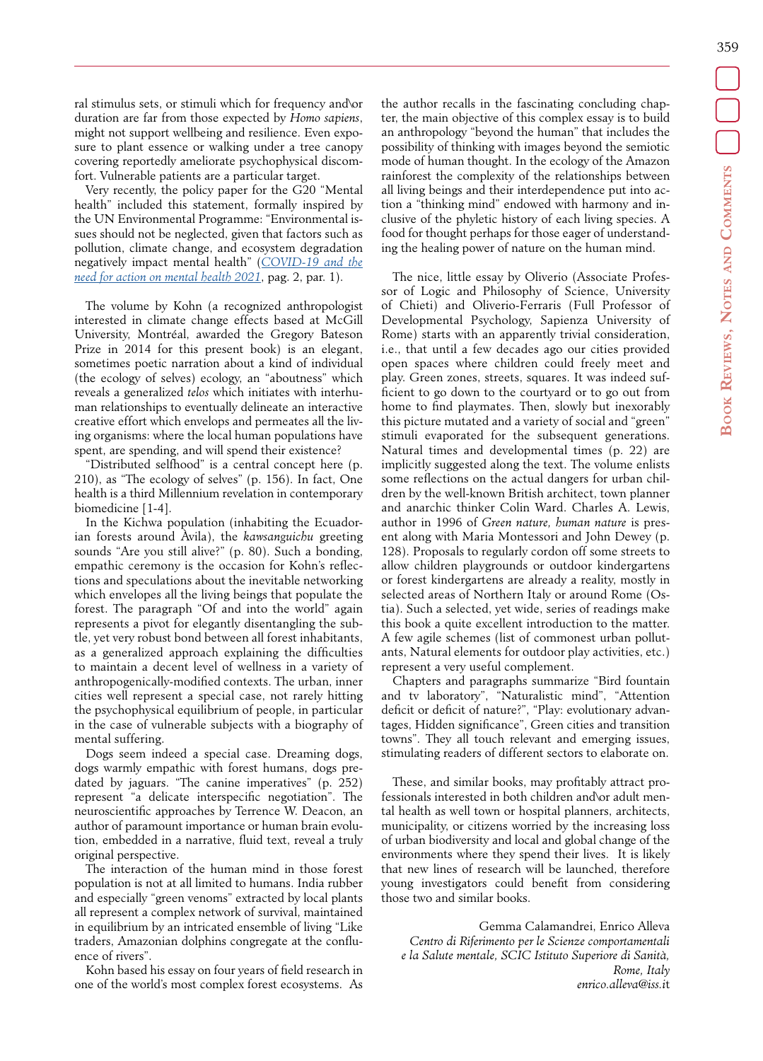ral stimulus sets, or stimuli which for frequency and\or duration are far from those expected by *Homo sapiens*, might not support wellbeing and resilience. Even exposure to plant essence or walking under a tree canopy covering reportedly ameliorate psychophysical discomfort. Vulnerable patients are a particular target.

Very recently, the policy paper for the G20 "Mental health" included this statement, formally inspired by the UN Environmental Programme: "Environmental issues should not be neglected, given that factors such as pollution, climate change, and ecosystem degradation negatively impact mental health" (*[COVID-19 and the](https://www.salute.gov.it/portale/documentazione/p6_2_2_1.jsp?lingua=italiano&id=3124) [need for action on mental health 2021](https://www.salute.gov.it/portale/documentazione/p6_2_2_1.jsp?lingua=italiano&id=3124)*, pag. 2, par. 1).

The volume by Kohn (a recognized anthropologist interested in climate change effects based at McGill University, Montréal, awarded the Gregory Bateson Prize in 2014 for this present book) is an elegant, sometimes poetic narration about a kind of individual (the ecology of selves) ecology, an "aboutness" which reveals a generalized *telos* which initiates with interhuman relationships to eventually delineate an interactive creative effort which envelops and permeates all the living organisms: where the local human populations have spent, are spending, and will spend their existence?

"Distributed selfhood" is a central concept here (p. 210), as "The ecology of selves" (p. 156). In fact, One health is a third Millennium revelation in contemporary biomedicine [1-4].

In the Kichwa population (inhabiting the Ecuadorian forests around Àvila), the *kawsanguichu* greeting sounds "Are you still alive?" (p. 80). Such a bonding, empathic ceremony is the occasion for Kohn's reflections and speculations about the inevitable networking which envelopes all the living beings that populate the forest. The paragraph "Of and into the world" again represents a pivot for elegantly disentangling the subtle, yet very robust bond between all forest inhabitants, as a generalized approach explaining the difficulties to maintain a decent level of wellness in a variety of anthropogenically-modified contexts. The urban, inner cities well represent a special case, not rarely hitting the psychophysical equilibrium of people, in particular in the case of vulnerable subjects with a biography of mental suffering.

Dogs seem indeed a special case. Dreaming dogs, dogs warmly empathic with forest humans, dogs predated by jaguars. "The canine imperatives" (p. 252) represent "a delicate interspecific negotiation". The neuroscientific approaches by Terrence W. Deacon, an author of paramount importance or human brain evolution, embedded in a narrative, fluid text, reveal a truly original perspective.

The interaction of the human mind in those forest population is not at all limited to humans. India rubber and especially "green venoms" extracted by local plants all represent a complex network of survival, maintained in equilibrium by an intricated ensemble of living "Like traders, Amazonian dolphins congregate at the confluence of rivers".

Kohn based his essay on four years of field research in one of the world's most complex forest ecosystems. As the author recalls in the fascinating concluding chapter, the main objective of this complex essay is to build an anthropology "beyond the human" that includes the possibility of thinking with images beyond the semiotic mode of human thought. In the ecology of the Amazon rainforest the complexity of the relationships between all living beings and their interdependence put into action a "thinking mind" endowed with harmony and inclusive of the phyletic history of each living species. A food for thought perhaps for those eager of understanding the healing power of nature on the human mind.

The nice, little essay by Oliverio (Associate Professor of Logic and Philosophy of Science, University of Chieti) and Oliverio-Ferraris (Full Professor of Developmental Psychology, Sapienza University of Rome) starts with an apparently trivial consideration, i.e., that until a few decades ago our cities provided open spaces where children could freely meet and play. Green zones, streets, squares. It was indeed sufficient to go down to the courtyard or to go out from home to find playmates. Then, slowly but inexorably this picture mutated and a variety of social and "green" stimuli evaporated for the subsequent generations. Natural times and developmental times (p. 22) are implicitly suggested along the text. The volume enlists some reflections on the actual dangers for urban children by the well-known British architect, town planner and anarchic thinker Colin Ward. Charles A. Lewis, author in 1996 of *Green nature, human nature* is present along with Maria Montessori and John Dewey (p. 128). Proposals to regularly cordon off some streets to allow children playgrounds or outdoor kindergartens or forest kindergartens are already a reality, mostly in selected areas of Northern Italy or around Rome (Ostia). Such a selected, yet wide, series of readings make this book a quite excellent introduction to the matter. A few agile schemes (list of commonest urban pollutants, Natural elements for outdoor play activities, etc.) represent a very useful complement.

Chapters and paragraphs summarize "Bird fountain and tv laboratory", "Naturalistic mind", "Attention deficit or deficit of nature?", "Play: evolutionary advantages, Hidden significance", Green cities and transition towns". They all touch relevant and emerging issues, stimulating readers of different sectors to elaborate on.

These, and similar books, may profitably attract professionals interested in both children and\or adult mental health as well town or hospital planners, architects, municipality, or citizens worried by the increasing loss of urban biodiversity and local and global change of the environments where they spend their lives. It is likely that new lines of research will be launched, therefore young investigators could benefit from considering those two and similar books.

Gemma Calamandrei, Enrico Alleva *Centro di Riferimento per le Scienze comportamentali e la Salute mentale, SCIC Istituto Superiore di Sanità, Rome, Italy enrico.alleva@iss.i*t